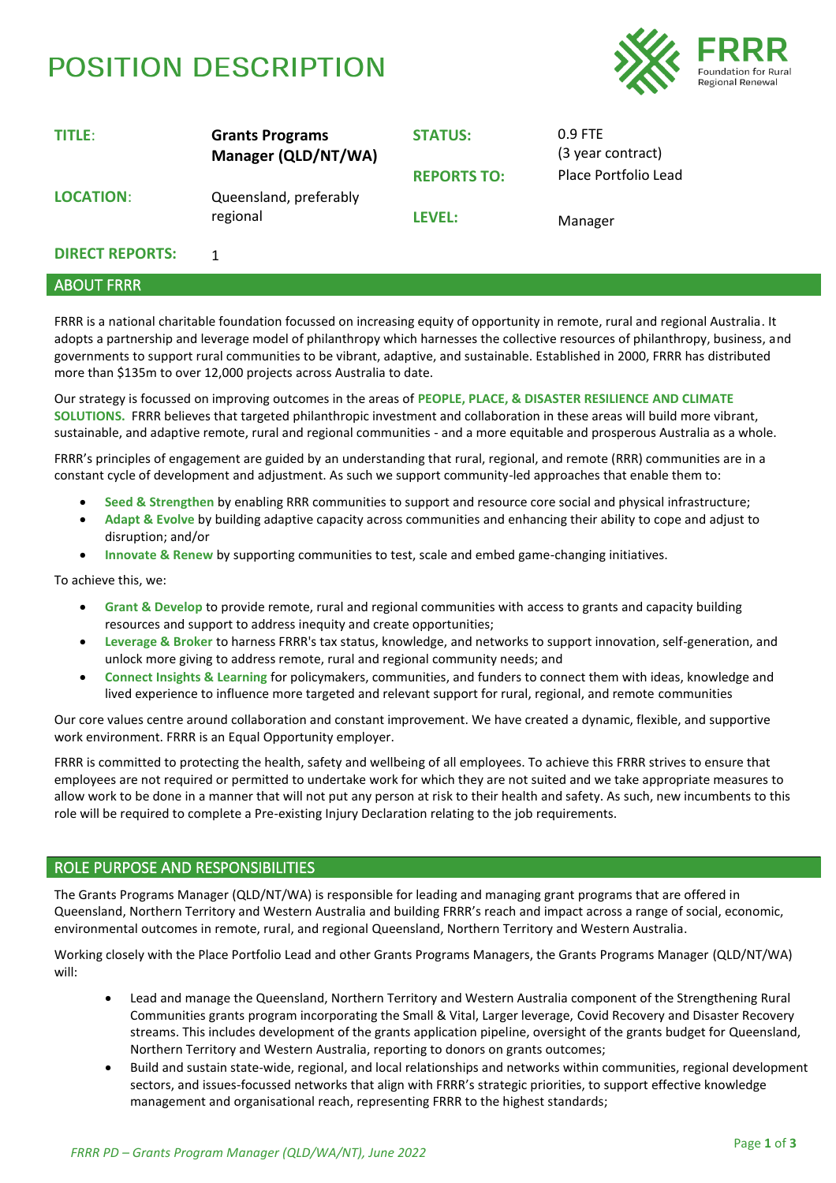## **POSITION DESCRIPTION**

1



| <b>TITLE:</b>    | <b>Grants Programs</b><br>Manager (QLD/NT/WA) | <b>STATUS:</b>     | $0.9$ FTE<br>(3 year contract) |
|------------------|-----------------------------------------------|--------------------|--------------------------------|
|                  |                                               | <b>REPORTS TO:</b> | Place Portfolio Lead           |
| <b>LOCATION:</b> | Queensland, preferably                        |                    |                                |
|                  | regional                                      | LEVEL:             | Manager                        |

## **DIRECT REPORTS:**

### ABOUT FRRR

FRRR is a national charitable foundation focussed on increasing equity of opportunity in remote, rural and regional Australia. It adopts a partnership and leverage model of philanthropy which harnesses the collective resources of philanthropy, business, and governments to support rural communities to be vibrant, adaptive, and sustainable. Established in 2000, FRRR has distributed more than \$135m to over 12,000 projects across Australia to date.

Our strategy is focussed on improving outcomes in the areas of **PEOPLE, PLACE, & DISASTER RESILIENCE AND CLIMATE SOLUTIONS.** FRRR believes that targeted philanthropic investment and collaboration in these areas will build more vibrant, sustainable, and adaptive remote, rural and regional communities - and a more equitable and prosperous Australia as a whole.

FRRR's principles of engagement are guided by an understanding that rural, regional, and remote (RRR) communities are in a constant cycle of development and adjustment. As such we support community-led approaches that enable them to:

- **Seed & Strengthen** by enabling RRR communities to support and resource core social and physical infrastructure;
- **Adapt & Evolve** by building adaptive capacity across communities and enhancing their ability to cope and adjust to disruption; and/or
- **Innovate & Renew** by supporting communities to test, scale and embed game-changing initiatives.

To achieve this, we:

- **Grant & Develop** to provide remote, rural and regional communities with access to grants and capacity building resources and support to address inequity and create opportunities;
- **Leverage & Broker** to harness FRRR's tax status, knowledge, and networks to support innovation, self-generation, and unlock more giving to address remote, rural and regional community needs; and
- **Connect Insights & Learning** for policymakers, communities, and funders to connect them with ideas, knowledge and lived experience to influence more targeted and relevant support for rural, regional, and remote communities

Our core values centre around collaboration and constant improvement. We have created a dynamic, flexible, and supportive work environment. FRRR is an Equal Opportunity employer.

FRRR is committed to protecting the health, safety and wellbeing of all employees. To achieve this FRRR strives to ensure that employees are not required or permitted to undertake work for which they are not suited and we take appropriate measures to allow work to be done in a manner that will not put any person at risk to their health and safety. As such, new incumbents to this role will be required to complete a Pre-existing Injury Declaration relating to the job requirements.

## ROLE PURPOSE AND RESPONSIBILITIES

The Grants Programs Manager (QLD/NT/WA) is responsible for leading and managing grant programs that are offered in Queensland, Northern Territory and Western Australia and building FRRR's reach and impact across a range of social, economic, environmental outcomes in remote, rural, and regional Queensland, Northern Territory and Western Australia.

Working closely with the Place Portfolio Lead and other Grants Programs Managers, the Grants Programs Manager (QLD/NT/WA) will:

- Lead and manage the Queensland, Northern Territory and Western Australia component of the Strengthening Rural Communities grants program incorporating the Small & Vital, Larger leverage, Covid Recovery and Disaster Recovery streams. This includes development of the grants application pipeline, oversight of the grants budget for Queensland, Northern Territory and Western Australia, reporting to donors on grants outcomes;
- Build and sustain state-wide, regional, and local relationships and networks within communities, regional development sectors, and issues-focussed networks that align with FRRR's strategic priorities, to support effective knowledge management and organisational reach, representing FRRR to the highest standards;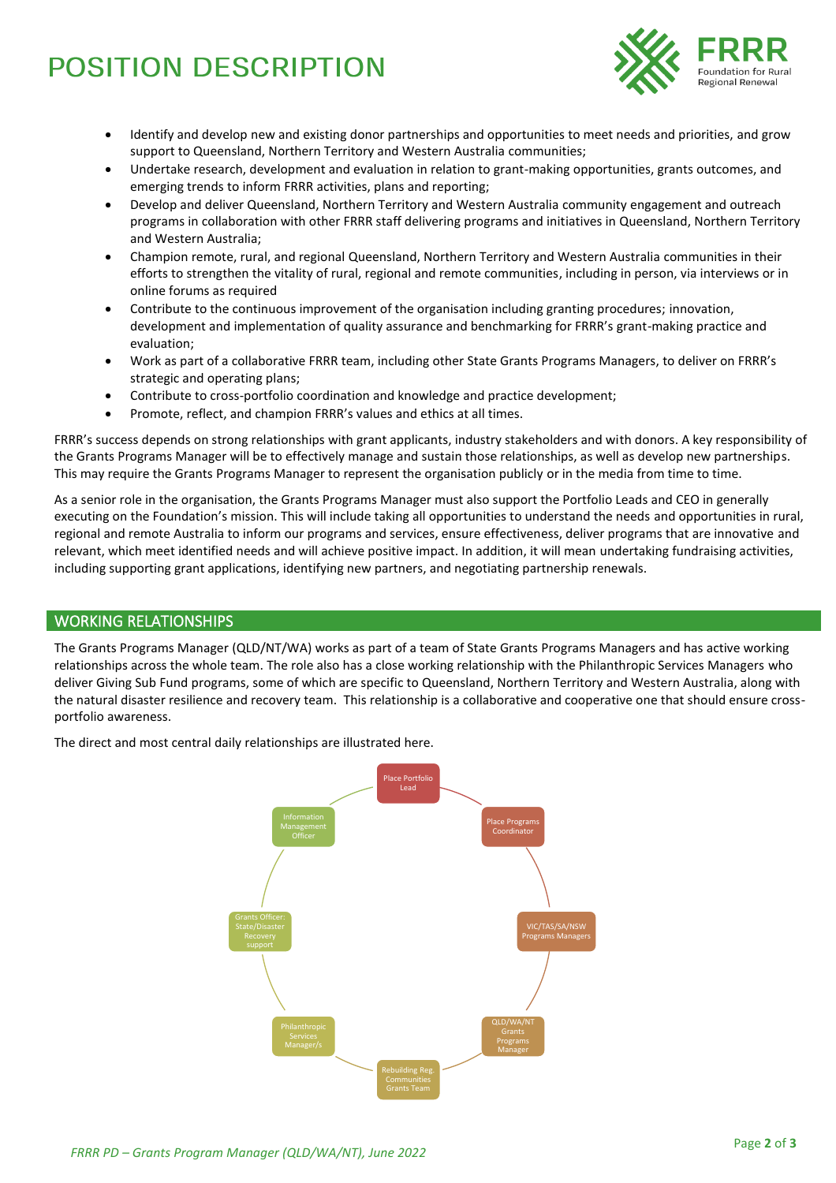# **POSITION DESCRIPTION**



- Identify and develop new and existing donor partnerships and opportunities to meet needs and priorities, and grow support to Queensland, Northern Territory and Western Australia communities;
- Undertake research, development and evaluation in relation to grant-making opportunities, grants outcomes, and emerging trends to inform FRRR activities, plans and reporting;
- Develop and deliver Queensland, Northern Territory and Western Australia community engagement and outreach programs in collaboration with other FRRR staff delivering programs and initiatives in Queensland, Northern Territory and Western Australia;
- Champion remote, rural, and regional Queensland, Northern Territory and Western Australia communities in their efforts to strengthen the vitality of rural, regional and remote communities, including in person, via interviews or in online forums as required
- Contribute to the continuous improvement of the organisation including granting procedures; innovation, development and implementation of quality assurance and benchmarking for FRRR's grant-making practice and evaluation;
- Work as part of a collaborative FRRR team, including other State Grants Programs Managers, to deliver on FRRR's strategic and operating plans;
- Contribute to cross-portfolio coordination and knowledge and practice development;
- Promote, reflect, and champion FRRR's values and ethics at all times.

FRRR's success depends on strong relationships with grant applicants, industry stakeholders and with donors. A key responsibility of the Grants Programs Manager will be to effectively manage and sustain those relationships, as well as develop new partnerships. This may require the Grants Programs Manager to represent the organisation publicly or in the media from time to time.

As a senior role in the organisation, the Grants Programs Manager must also support the Portfolio Leads and CEO in generally executing on the Foundation's mission. This will include taking all opportunities to understand the needs and opportunities in rural, regional and remote Australia to inform our programs and services, ensure effectiveness, deliver programs that are innovative and relevant, which meet identified needs and will achieve positive impact. In addition, it will mean undertaking fundraising activities, including supporting grant applications, identifying new partners, and negotiating partnership renewals.

## WORKING RELATIONSHIPS

The Grants Programs Manager (QLD/NT/WA) works as part of a team of State Grants Programs Managers and has active working relationships across the whole team. The role also has a close working relationship with the Philanthropic Services Managers who deliver Giving Sub Fund programs, some of which are specific to Queensland, Northern Territory and Western Australia, along with the natural disaster resilience and recovery team. This relationship is a collaborative and cooperative one that should ensure crossportfolio awareness.

The direct and most central daily relationships are illustrated here.